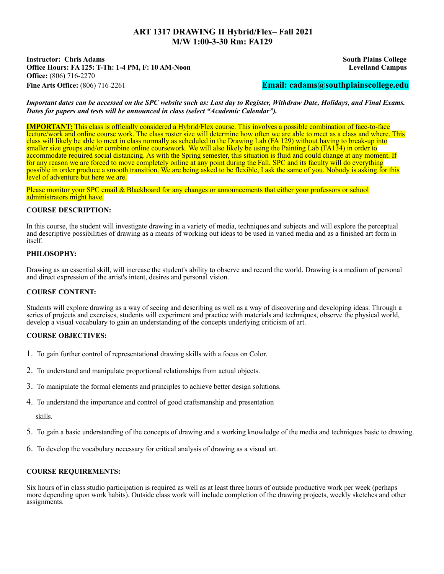# **ART 1317 DRAWING II Hybrid/Flex– Fall 2021 M/W 1:00-3-30 Rm: FA129**

**Instructor: Chris Adams South Plains College Office Hours: FA 125: T-Th: 1-4 PM, F: 10 AM-Noon Levelland Campus Office:** (806) 716-2270 **Fine Arts Office:** (806) 716-2261 **Email: cadams@southplainscollege.edu**

*Important dates can be accessed on the SPC website such as: Last day to Register, Withdraw Date, Holidays, and Final Exams. Dates for papers and tests will be announced in class (select "Academic Calendar").*

**IMPORTANT:** This class is officially considered a Hybrid/Flex course. This involves a possible combination of face-to-face lecture/work and online course work. The class roster size will determine how often we are able to meet as a class and where. This class will likely be able to meet in class normally as scheduled in the Drawing Lab (FA 129) without having to break-up into smaller size groups and/or combine online coursework. We will also likely be using the Painting Lab (FA134) in order to accommodate required social distancing. As with the Spring semester, this situation is fluid and could change at any moment. If for any reason we are forced to move completely online at any point during the Fall, SPC and its faculty will do everything possible in order produce a smooth transition. We are being asked to be flexible, I ask the same of you. Nobody is asking for this level of adventure but here we are.

Please monitor your SPC email & Blackboard for any changes or announcements that either your professors or school administrators might have.

## **COURSE DESCRIPTION:**

In this course, the student will investigate drawing in a variety of media, techniques and subjects and will explore the perceptual and descriptive possibilities of drawing as a means of working out ideas to be used in varied media and as a finished art form in itself.

#### **PHILOSOPHY:**

Drawing as an essential skill, will increase the student's ability to observe and record the world. Drawing is a medium of personal and direct expression of the artist's intent, desires and personal vision.

# **COURSE CONTENT:**

Students will explore drawing as a way of seeing and describing as well as a way of discovering and developing ideas. Through a series of projects and exercises, students will experiment and practice with materials and techniques, observe the physical world, develop a visual vocabulary to gain an understanding of the concepts underlying criticism of art.

# **COURSE OBJECTIVES:**

- 1. To gain further control of representational drawing skills with a focus on Color.
- 2. To understand and manipulate proportional relationships from actual objects.
- 3. To manipulate the formal elements and principles to achieve better design solutions.
- 4. To understand the importance and control of good craftsmanship and presentation

skills.

- 5. To gain a basic understanding of the concepts of drawing and a working knowledge of the media and techniques basic to drawing.
- 6. To develop the vocabulary necessary for critical analysis of drawing as a visual art.

# **COURSE REQUIREMENTS:**

Six hours of in class studio participation is required as well as at least three hours of outside productive work per week (perhaps more depending upon work habits). Outside class work will include completion of the drawing projects, weekly sketches and other assignments.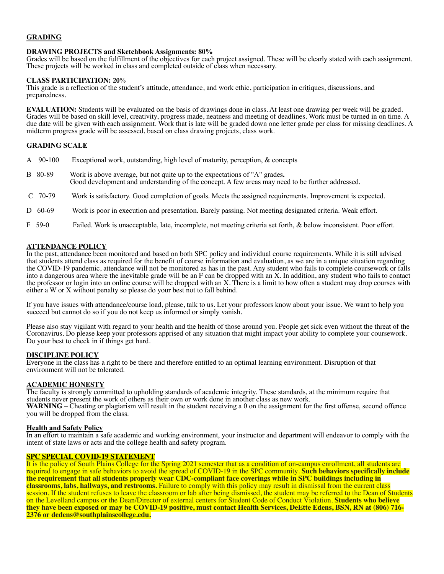# **GRADING**

## **DRAWING PROJECTS and Sketchbook Assignments: 80%**

Grades will be based on the fulfillment of the objectives for each project assigned. These will be clearly stated with each assignment. These projects will be worked in class and completed outside of class when necessary.

#### **CLASS PARTICIPATION: 20%**

This grade is a reflection of the student's attitude, attendance, and work ethic, participation in critiques, discussions, and preparedness.

**EVALUATION:** Students will be evaluated on the basis of drawings done in class. At least one drawing per week will be graded. Grades will be based on skill level, creativity, progress made, neatness and meeting of deadlines. Work must be turned in on time. A due date will be given with each assignment. Work that is late will be graded down one letter grade per class for missing deadlines. A midterm progress grade will be assessed, based on class drawing projects, class work.

## **GRADING SCALE**

| A 90-100     | Exceptional work, outstanding, high level of maturity, perception, & concepts                                                                                                  |
|--------------|--------------------------------------------------------------------------------------------------------------------------------------------------------------------------------|
| B 80-89      | Work is above average, but not quite up to the expectations of "A" grades.<br>Good development and understanding of the concept. A few areas may need to be further addressed. |
| $C$ 70-79    | Work is satisfactory. Good completion of goals. Meets the assigned requirements. Improvement is expected.                                                                      |
| $D \t 60-69$ | Work is poor in execution and presentation. Barely passing. Not meeting designated criteria. Weak effort.                                                                      |

F 59-0 Failed. Work is unacceptable, late, incomplete, not meeting criteria set forth, & below inconsistent. Poor effort.

## **ATTENDANCE POLICY**

In the past, attendance been monitored and based on both SPC policy and individual course requirements. While it is still advised that students attend class as required for the benefit of course information and evaluation, as we are in a unique situation regarding the COVID-19 pandemic, attendance will not be monitored as has in the past. Any student who fails to complete coursework or falls into a dangerous area where the inevitable grade will be an F can be dropped with an X. In addition, any student who fails to contact the professor or login into an online course will be dropped with an X. There is a limit to how often a student may drop courses with either a W or X without penalty so please do your best not to fall behind.

If you have issues with attendance/course load, please, talk to us. Let your professors know about your issue. We want to help you succeed but cannot do so if you do not keep us informed or simply vanish.

Please also stay vigilant with regard to your health and the health of those around you. People get sick even without the threat of the Coronavirus. Do please keep your professors apprised of any situation that might impact your ability to complete your coursework. Do your best to check in if things get hard.

#### **DISCIPLINE POLICY**

Everyone in the class has a right to be there and therefore entitled to an optimal learning environment. Disruption of that environment will not be tolerated.

#### **ACADEMIC HONESTY**

The faculty is strongly committed to upholding standards of academic integrity. These standards, at the minimum require that students never present the work of others as their own or work done in another class as new work.<br>WARNING – Cheating or plagiarism will result in the student receiving a 0 on the assignment for the first offense, second of you will be dropped from the class.

#### **Health and Safety Policy**

In an effort to maintain a safe academic and working environment, your instructor and department will endeavor to comply with the intent of state laws or acts and the college health and safety program.

#### **SPC SPECIAL COVID-19 STATEMENT**

It is the policy of South Plains College for the Spring 2021 semester that as a condition of on-campus enrollment, all students are required to engage in safe behaviors to avoid the spread of COVID-19 in the SPC community. **Such behaviors specifically include the requirement that all students properly wear CDC-compliant face coverings while in SPC buildings including in classrooms, labs, hallways, and restrooms.** Failure to comply with this policy may result in dismissal from the current class session. If the student refuses to leave the classroom or lab after being dismissed, the student may be referred to the Dean of Students on the Levelland campus or the Dean/Director of external centers for Student Code of Conduct Violation. **Students who believe** they have been exposed or may be COVID-19 positive, must contact Health Services, DeEtte Edens, BSN, RN at (806) 716-<br>2376 or dedens@southplainscollege.edu.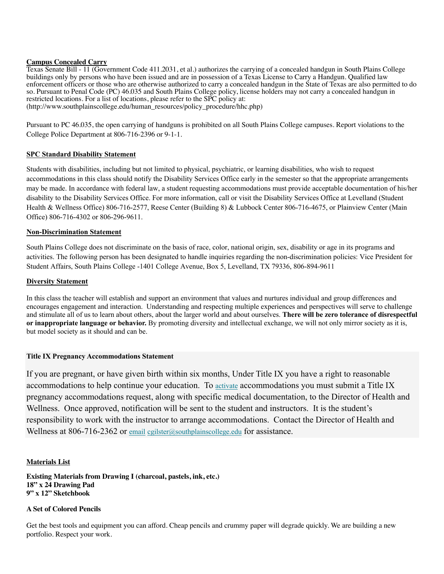## **Campus Concealed Carry**

Texas Senate Bill - 11 (Government Code 411.2031, et al.) authorizes the carrying of a concealed handgun in South Plains College buildings only by persons who have been issued and are in possession of a Texas License to Carry a Handgun. Qualified law enforcement officers or those who are otherwise authorized to carry a concealed handgun in the State of Texas are also permitted to do so. Pursuant to Penal Code (PC) 46.035 and South Plains College policy, license holders may not carry a concealed handgun in restricted locations. For a list of locations, please refer to the SPC policy at: (http://www.southplainscollege.edu/human\_resources/policy\_procedure/hhc.php)

Pursuant to PC 46.035, the open carrying of handguns is prohibited on all South Plains College campuses. Report violations to the College Police Department at 806-716-2396 or 9-1-1.

## **SPC Standard Disability Statement**

Students with disabilities, including but not limited to physical, psychiatric, or learning disabilities, who wish to request accommodations in this class should notify the Disability Services Office early in the semester so that the appropriate arrangements may be made. In accordance with federal law, a student requesting accommodations must provide acceptable documentation of his/her disability to the Disability Services Office. For more information, call or visit the Disability Services Office at Levelland (Student Health & Wellness Office) 806-716-2577, Reese Center (Building 8) & Lubbock Center 806-716-4675, or Plainview Center (Main Office) 806-716-4302 or 806-296-9611.

## **Non-Discrimination Statement**

South Plains College does not discriminate on the basis of race, color, national origin, sex, disability or age in its programs and activities. The following person has been designated to handle inquiries regarding the non-discrimination policies: Vice President for Student Affairs, South Plains College -1401 College Avenue, Box 5, Levelland, TX 79336, 806-894-9611

## **Diversity Statement**

In this class the teacher will establish and support an environment that values and nurtures individual and group differences and encourages engagement and interaction. Understanding and respecting multiple experiences and perspectives will serve to challenge and stimulate all of us to learn about others, about the larger world and about ourselves. **There will be zero tolerance of disrespectful or inappropriate language or behavior.** By promoting diversity and intellectual exchange, we will not only mirror society as it is, but model society as it should and can be.

#### **Title IX Pregnancy Accommodations Statement**

If you are pregnant, or have given birth within six months, Under Title IX you have a right to reasonable accommodations to help continue your education. To activate accommodations you must submit a Title IX pregnancy accommodations request, along with specific medical documentation, to the Director of Health and Wellness. Once approved, notification will be sent to the student and instructors. It is the student's responsibility to work with the instructor to arrange accommodations. Contact the Director of Health and Wellness at 806-716-2362 or email cgilster@southplainscollege.edu for assistance.

# **Materials List**

**Existing Materials from Drawing I (charcoal, pastels, ink, etc.) 18" x 24 Drawing Pad 9" x 12" Sketchbook**

#### **A Set of Colored Pencils**

Get the best tools and equipment you can afford. Cheap pencils and crummy paper will degrade quickly. We are building a new portfolio. Respect your work.